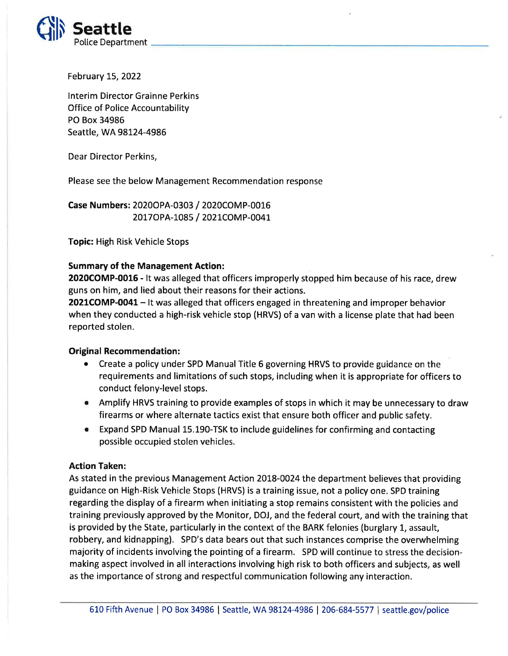

February 15, 2022

lnterim Director Grainne Perkins Office of Police Accountability PO Box 34986 Seattle, WA 98124-4986

Dear Director Perkins,

Please see the below Management Recommendation response

Case Numbers: 2020OPA-0303 / 2O2OCOMP-0016 2017 OP A-1085 / 2021 COMP-0041

Topic: High Risk Vehicle Stops

## Summary of the Management Action:

2020COMP-0015 - lt was alleged that officers improperly stopped him because of his race, drew guns on him, and lied about their reasons for their actions.

2021COMP-0041 - It was alleged that officers engaged in threatening and improper behavior when they conducted a high-risk vehicle stop (HRVS) of a van with a license plate that had been reported stolen.

## Original Recommendation:

- Create a policy under SPD Manual Title 6 governing HRVS to provide guidance on the requirements and limitations of such stops, including when it is appropriate for officers to conduct felony-level stops.
- o Amplify HRVS training to provide examples of stops in which it may be unnecessary to draw firearms or where alternate tactics exist that ensure both officer and public safety.
- o Expand SPD Manual L5.L90-TSK to include guidelines for confirming and contacting possible occupied stolen vehicles.

## Action Taken:

As stated in the previous Management Action 2018-0024 the department believes that providing guidance on High-Risk Vehicle Stops (HRVS) is a training issue, not a policy one. SPD training regarding the display of a firearm when initiating a stop remains consistent with the policies and training previously approved by the Monitor, DOJ, and the federal court, and with the training that is provided by the State, particularly in the context of the BARK felonies (burglary 1, assault, robbery, and kidnapping). SPD's data bears out that such instances comprise the overwhelming majority of incidents involving the pointing of a firearm. SPD will continue to stress the decisionmaking aspect involved in all interactions involving high risk to both officers and subjects, as well as the importance of strong and respectful communication following any interaction.